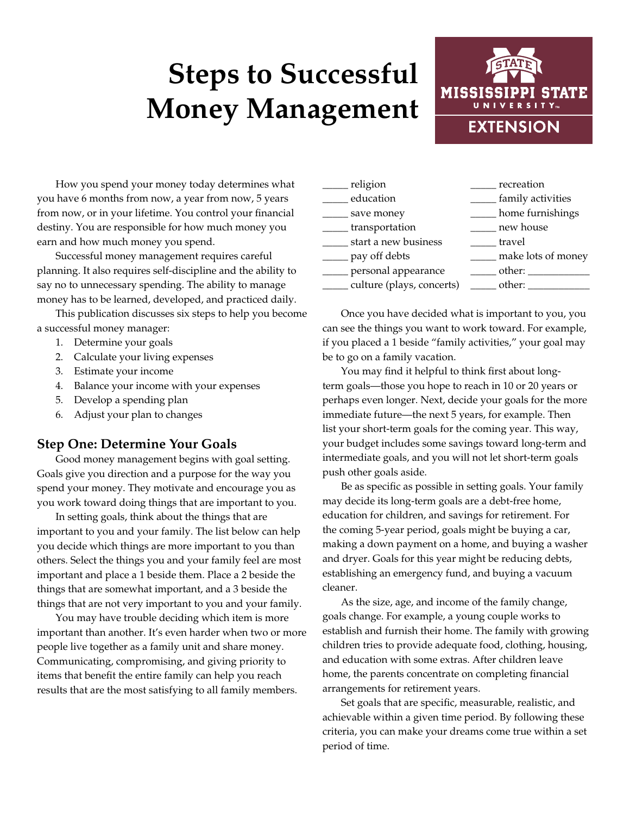# **Steps to Successful Money Management**



How you spend your money today determines what you have 6 months from now, a year from now, 5 years from now, or in your lifetime. You control your financial destiny. You are responsible for how much money you earn and how much money you spend.

Successful money management requires careful planning. It also requires self-discipline and the ability to say no to unnecessary spending. The ability to manage money has to be learned, developed, and practiced daily.

This publication discusses six steps to help you become a successful money manager:

- 1. Determine your goals
- 2. Calculate your living expenses
- 3. Estimate your income
- 4. Balance your income with your expenses
- 5. Develop a spending plan
- 6. Adjust your plan to changes

#### **Step One: Determine Your Goals**

Good money management begins with goal setting. Goals give you direction and a purpose for the way you spend your money. They motivate and encourage you as you work toward doing things that are important to you.

In setting goals, think about the things that are important to you and your family. The list below can help you decide which things are more important to you than others. Select the things you and your family feel are most important and place a 1 beside them. Place a 2 beside the things that are somewhat important, and a 3 beside the things that are not very important to you and your family.

You may have trouble deciding which item is more important than another. It's even harder when two or more people live together as a family unit and share money. Communicating, compromising, and giving priority to items that benefit the entire family can help you reach results that are the most satisfying to all family members.

| religion                  | recreation         |
|---------------------------|--------------------|
| education                 | family activities  |
| save money                | home furnishings   |
| transportation            | new house          |
| start a new business      | travel             |
| pay off debts             | make lots of money |
| personal appearance       | other:             |
| culture (plays, concerts) | other:             |
|                           |                    |

Once you have decided what is important to you, you can see the things you want to work toward. For example, if you placed a 1 beside "family activities," your goal may be to go on a family vacation.

You may find it helpful to think first about longterm goals—those you hope to reach in 10 or 20 years or perhaps even longer. Next, decide your goals for the more immediate future—the next 5 years, for example. Then list your short-term goals for the coming year. This way, your budget includes some savings toward long-term and intermediate goals, and you will not let short-term goals push other goals aside.

Be as specific as possible in setting goals. Your family may decide its long-term goals are a debt-free home, education for children, and savings for retirement. For the coming 5-year period, goals might be buying a car, making a down payment on a home, and buying a washer and dryer. Goals for this year might be reducing debts, establishing an emergency fund, and buying a vacuum cleaner.

As the size, age, and income of the family change, goals change. For example, a young couple works to establish and furnish their home. The family with growing children tries to provide adequate food, clothing, housing, and education with some extras. After children leave home, the parents concentrate on completing financial arrangements for retirement years.

Set goals that are specific, measurable, realistic, and achievable within a given time period. By following these criteria, you can make your dreams come true within a set period of time.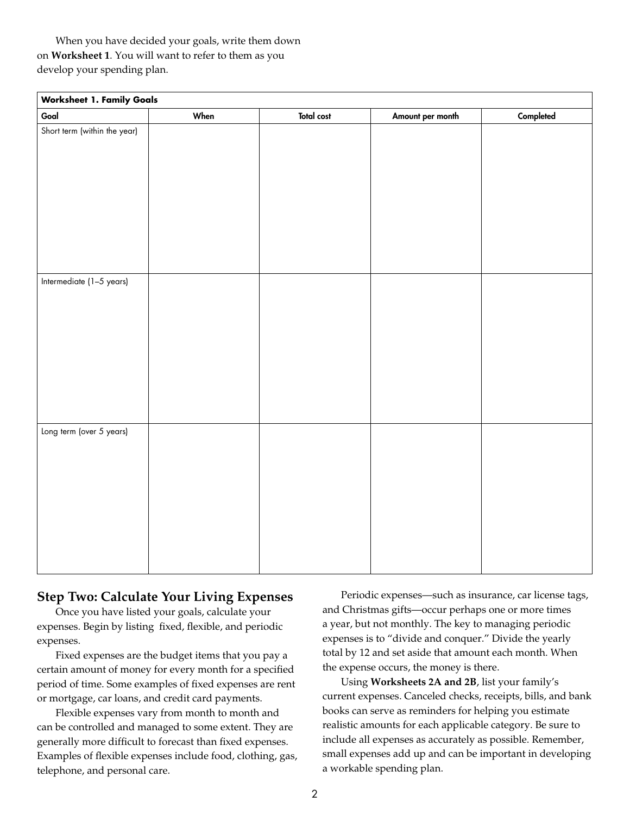When you have decided your goals, write them down on **Worksheet 1**. You will want to refer to them as you develop your spending plan.

| <b>Worksheet 1. Family Goals</b> |      |                   |                  |           |  |  |  |
|----------------------------------|------|-------------------|------------------|-----------|--|--|--|
| Goal                             | When | <b>Total cost</b> | Amount per month | Completed |  |  |  |
| Short term (within the year)     |      |                   |                  |           |  |  |  |
|                                  |      |                   |                  |           |  |  |  |
|                                  |      |                   |                  |           |  |  |  |
|                                  |      |                   |                  |           |  |  |  |
|                                  |      |                   |                  |           |  |  |  |
|                                  |      |                   |                  |           |  |  |  |
|                                  |      |                   |                  |           |  |  |  |
|                                  |      |                   |                  |           |  |  |  |
|                                  |      |                   |                  |           |  |  |  |
|                                  |      |                   |                  |           |  |  |  |
| Intermediate (1-5 years)         |      |                   |                  |           |  |  |  |
|                                  |      |                   |                  |           |  |  |  |
|                                  |      |                   |                  |           |  |  |  |
|                                  |      |                   |                  |           |  |  |  |
|                                  |      |                   |                  |           |  |  |  |
|                                  |      |                   |                  |           |  |  |  |
|                                  |      |                   |                  |           |  |  |  |
|                                  |      |                   |                  |           |  |  |  |
|                                  |      |                   |                  |           |  |  |  |
|                                  |      |                   |                  |           |  |  |  |
| Long term (over 5 years)         |      |                   |                  |           |  |  |  |
|                                  |      |                   |                  |           |  |  |  |
|                                  |      |                   |                  |           |  |  |  |
|                                  |      |                   |                  |           |  |  |  |
|                                  |      |                   |                  |           |  |  |  |
|                                  |      |                   |                  |           |  |  |  |
|                                  |      |                   |                  |           |  |  |  |
|                                  |      |                   |                  |           |  |  |  |
|                                  |      |                   |                  |           |  |  |  |
|                                  |      |                   |                  |           |  |  |  |
|                                  |      |                   |                  |           |  |  |  |

### **Step Two: Calculate Your Living Expenses**

Once you have listed your goals, calculate your expenses. Begin by listing fixed, flexible, and periodic expenses.

Fixed expenses are the budget items that you pay a certain amount of money for every month for a specified period of time. Some examples of fixed expenses are rent or mortgage, car loans, and credit card payments.

Flexible expenses vary from month to month and can be controlled and managed to some extent. They are generally more difficult to forecast than fixed expenses. Examples of flexible expenses include food, clothing, gas, telephone, and personal care.

Periodic expenses—such as insurance, car license tags, and Christmas gifts—occur perhaps one or more times a year, but not monthly. The key to managing periodic expenses is to "divide and conquer." Divide the yearly total by 12 and set aside that amount each month. When the expense occurs, the money is there.

Using **Worksheets 2A and 2B**, list your family's current expenses. Canceled checks, receipts, bills, and bank books can serve as reminders for helping you estimate realistic amounts for each applicable category. Be sure to include all expenses as accurately as possible. Remember, small expenses add up and can be important in developing a workable spending plan.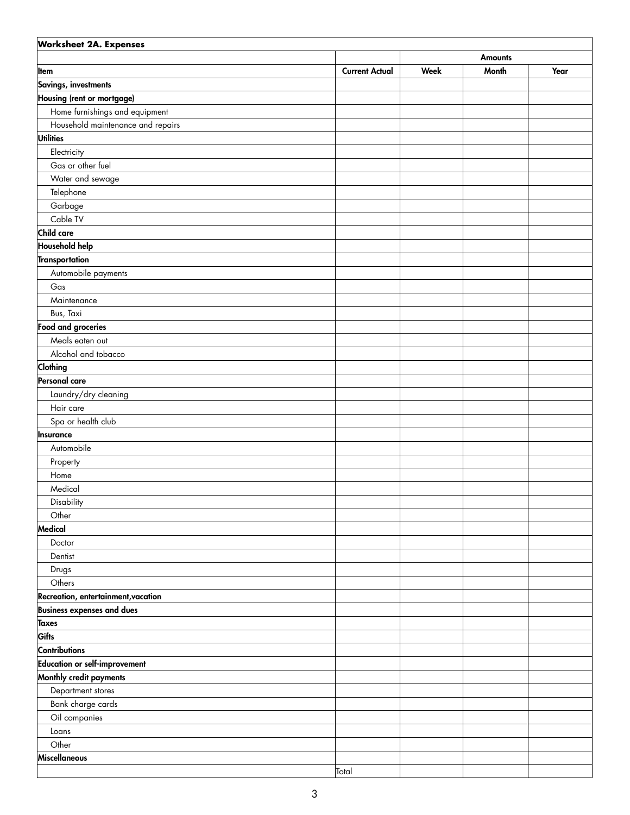| <b>Worksheet 2A. Expenses</b>        |                       |             |                |      |  |  |
|--------------------------------------|-----------------------|-------------|----------------|------|--|--|
|                                      |                       |             | <b>Amounts</b> |      |  |  |
| Item                                 | <b>Current Actual</b> | <b>Week</b> | Month          | Year |  |  |
| Savings, investments                 |                       |             |                |      |  |  |
| Housing (rent or mortgage)           |                       |             |                |      |  |  |
| Home furnishings and equipment       |                       |             |                |      |  |  |
| Household maintenance and repairs    |                       |             |                |      |  |  |
| <b>Utilities</b>                     |                       |             |                |      |  |  |
| Electricity                          |                       |             |                |      |  |  |
| Gas or other fuel                    |                       |             |                |      |  |  |
| Water and sewage                     |                       |             |                |      |  |  |
| Telephone                            |                       |             |                |      |  |  |
| Garbage                              |                       |             |                |      |  |  |
| Cable TV                             |                       |             |                |      |  |  |
| Child care                           |                       |             |                |      |  |  |
| <b>Household help</b>                |                       |             |                |      |  |  |
| Transportation                       |                       |             |                |      |  |  |
| Automobile payments                  |                       |             |                |      |  |  |
| Gas                                  |                       |             |                |      |  |  |
| Maintenance                          |                       |             |                |      |  |  |
| Bus, Taxi                            |                       |             |                |      |  |  |
| Food and groceries                   |                       |             |                |      |  |  |
| Meals eaten out                      |                       |             |                |      |  |  |
| Alcohol and tobacco                  |                       |             |                |      |  |  |
| Clothing                             |                       |             |                |      |  |  |
| Personal care                        |                       |             |                |      |  |  |
| Laundry/dry cleaning                 |                       |             |                |      |  |  |
| Hair care                            |                       |             |                |      |  |  |
| Spa or health club                   |                       |             |                |      |  |  |
| Insurance                            |                       |             |                |      |  |  |
| Automobile                           |                       |             |                |      |  |  |
| Property                             |                       |             |                |      |  |  |
| Home                                 |                       |             |                |      |  |  |
| Medical                              |                       |             |                |      |  |  |
| Disability                           |                       |             |                |      |  |  |
| Other                                |                       |             |                |      |  |  |
| Medical                              |                       |             |                |      |  |  |
| Doctor                               |                       |             |                |      |  |  |
| Dentist                              |                       |             |                |      |  |  |
| Drugs                                |                       |             |                |      |  |  |
| Others                               |                       |             |                |      |  |  |
| Recreation, entertainment, vacation  |                       |             |                |      |  |  |
| <b>Business expenses and dues</b>    |                       |             |                |      |  |  |
| <b>Taxes</b>                         |                       |             |                |      |  |  |
| Gifts                                |                       |             |                |      |  |  |
| <b>Contributions</b>                 |                       |             |                |      |  |  |
| <b>Education or self-improvement</b> |                       |             |                |      |  |  |
| Monthly credit payments              |                       |             |                |      |  |  |
| Department stores                    |                       |             |                |      |  |  |
| Bank charge cards                    |                       |             |                |      |  |  |
| Oil companies                        |                       |             |                |      |  |  |
| Loans                                |                       |             |                |      |  |  |
| Other                                |                       |             |                |      |  |  |
| Miscellaneous                        |                       |             |                |      |  |  |
|                                      | Total                 |             |                |      |  |  |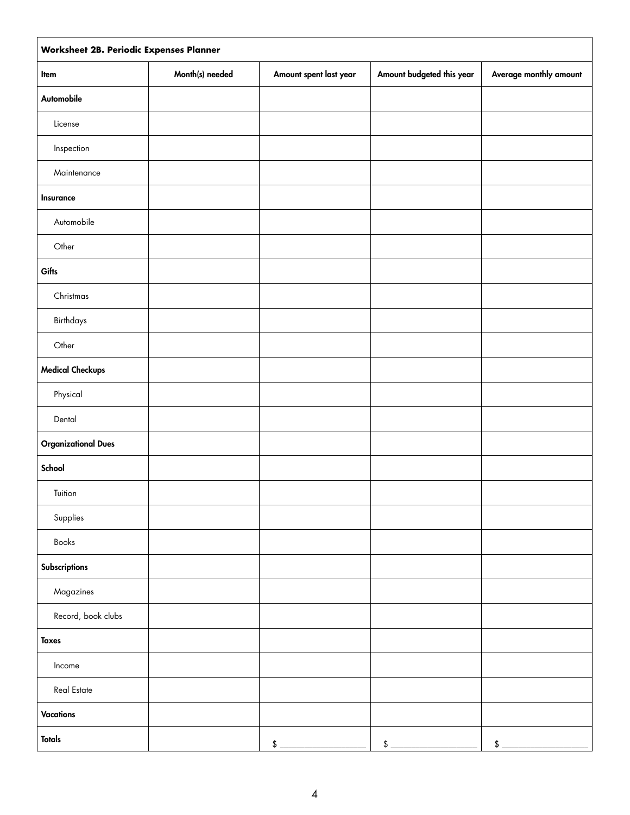| Worksheet 2B. Periodic Expenses Planner |                 |                        |                               |                                          |  |  |
|-----------------------------------------|-----------------|------------------------|-------------------------------|------------------------------------------|--|--|
| Item                                    | Month(s) needed | Amount spent last year | Amount budgeted this year     | Average monthly amount                   |  |  |
| Automobile                              |                 |                        |                               |                                          |  |  |
| License                                 |                 |                        |                               |                                          |  |  |
| Inspection                              |                 |                        |                               |                                          |  |  |
| Maintenance                             |                 |                        |                               |                                          |  |  |
| Insurance                               |                 |                        |                               |                                          |  |  |
| Automobile                              |                 |                        |                               |                                          |  |  |
| Other                                   |                 |                        |                               |                                          |  |  |
| Gifts                                   |                 |                        |                               |                                          |  |  |
| Christmas                               |                 |                        |                               |                                          |  |  |
| Birthdays                               |                 |                        |                               |                                          |  |  |
| Other                                   |                 |                        |                               |                                          |  |  |
| <b>Medical Checkups</b>                 |                 |                        |                               |                                          |  |  |
| Physical                                |                 |                        |                               |                                          |  |  |
| Dental                                  |                 |                        |                               |                                          |  |  |
| <b>Organizational Dues</b>              |                 |                        |                               |                                          |  |  |
| School                                  |                 |                        |                               |                                          |  |  |
| Tuition                                 |                 |                        |                               |                                          |  |  |
| Supplies                                |                 |                        |                               |                                          |  |  |
| Books                                   |                 |                        |                               |                                          |  |  |
| Subscriptions                           |                 |                        |                               |                                          |  |  |
| Magazines                               |                 |                        |                               |                                          |  |  |
| Record, book clubs                      |                 |                        |                               |                                          |  |  |
| <b>Taxes</b>                            |                 |                        |                               |                                          |  |  |
| Income                                  |                 |                        |                               |                                          |  |  |
| Real Estate                             |                 |                        |                               |                                          |  |  |
| <b>Vacations</b>                        |                 |                        |                               |                                          |  |  |
| <b>Totals</b>                           |                 | $$ -$                  | $$\overbrace{\hspace{2.5cm}}$ | $$$ $\overline{\phantom{a} \phantom{a}}$ |  |  |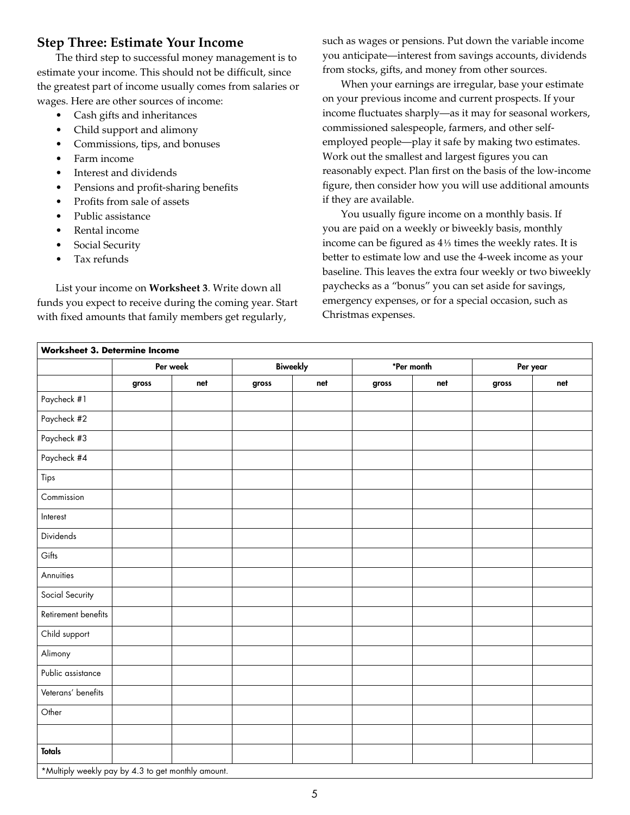# **Step Three: Estimate Your Income**

The third step to successful money management is to estimate your income. This should not be difficult, since the greatest part of income usually comes from salaries or wages. Here are other sources of income:

- Cash gifts and inheritances
- Child support and alimony
- Commissions, tips, and bonuses
- Farm income
- Interest and dividends
- Pensions and profit-sharing benefits
- Profits from sale of assets
- Public assistance
- Rental income
- Social Security
- Tax refunds

List your income on **Worksheet 3**. Write down all funds you expect to receive during the coming year. Start with fixed amounts that family members get regularly,

such as wages or pensions. Put down the variable income you anticipate—interest from savings accounts, dividends from stocks, gifts, and money from other sources.

When your earnings are irregular, base your estimate on your previous income and current prospects. If your income fluctuates sharply—as it may for seasonal workers, commissioned salespeople, farmers, and other selfemployed people—play it safe by making two estimates. Work out the smallest and largest figures you can reasonably expect. Plan first on the basis of the low-income figure, then consider how you will use additional amounts if they are available.

You usually figure income on a monthly basis. If you are paid on a weekly or biweekly basis, monthly income can be figured as  $4\frac{1}{3}$  times the weekly rates. It is better to estimate low and use the 4-week income as your baseline. This leaves the extra four weekly or two biweekly paychecks as a "bonus" you can set aside for savings, emergency expenses, or for a special occasion, such as Christmas expenses.

|                     | Per week |     | <b>Biweekly</b> |     | *Per month |     | Per year |     |
|---------------------|----------|-----|-----------------|-----|------------|-----|----------|-----|
|                     | gross    | net | gross           | net | gross      | net | gross    | net |
| Paycheck #1         |          |     |                 |     |            |     |          |     |
| Paycheck #2         |          |     |                 |     |            |     |          |     |
| Paycheck #3         |          |     |                 |     |            |     |          |     |
| Paycheck #4         |          |     |                 |     |            |     |          |     |
| Tips                |          |     |                 |     |            |     |          |     |
| Commission          |          |     |                 |     |            |     |          |     |
| Interest            |          |     |                 |     |            |     |          |     |
| Dividends           |          |     |                 |     |            |     |          |     |
| Gifts               |          |     |                 |     |            |     |          |     |
| Annuities           |          |     |                 |     |            |     |          |     |
| Social Security     |          |     |                 |     |            |     |          |     |
| Retirement benefits |          |     |                 |     |            |     |          |     |
| Child support       |          |     |                 |     |            |     |          |     |
| Alimony             |          |     |                 |     |            |     |          |     |
| Public assistance   |          |     |                 |     |            |     |          |     |
| Veterans' benefits  |          |     |                 |     |            |     |          |     |
| Other               |          |     |                 |     |            |     |          |     |
|                     |          |     |                 |     |            |     |          |     |
| <b>Totals</b>       |          |     |                 |     |            |     |          |     |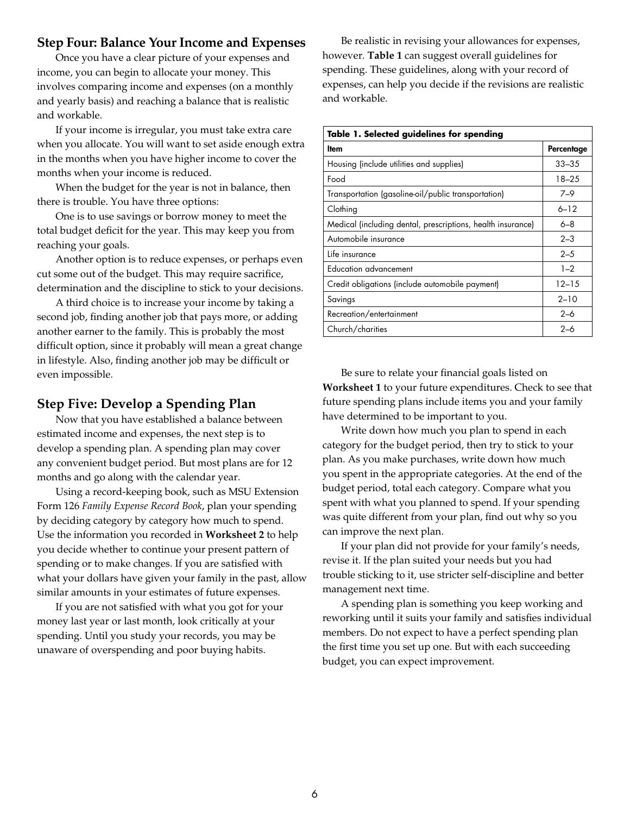#### **Step Four: Balance Your Income and Expenses**

Once you have a clear picture of your expenses and income, you can begin to allocate your money. This involves comparing income and expenses (on a monthly and yearly basis) and reaching a balance that is realistic and workable.

If your income is irregular, you must take extra care when you allocate. You will want to set aside enough extra in the months when you have higher income to cover the months when your income is reduced.

When the budget for the year is not in balance, then there is trouble. You have three options:

One is to use savings or borrow money to meet the total budget deficit for the year. This may keep you from reaching your goals.

Another option is to reduce expenses, or perhaps even cut some out of the budget. This may require sacrifice, determination and the discipline to stick to your decisions.

A third choice is to increase your income by taking a second job, finding another job that pays more, or adding another earner to the family. This is probably the most difficult option, since it probably will mean a great change in lifestyle. Also, finding another job may be difficult or even impossible.

#### **Step Five: Develop a Spending Plan**

Now that you have established a balance between estimated income and expenses, the next step is to develop a spending plan. A spending plan may cover any convenient budget period. But most plans are for 12 months and go along with the calendar year.

Using a record-keeping book, such as MSU Extension Form 126 *Family Expense Record Book*, plan your spending by deciding category by category how much to spend. Use the information you recorded in **Worksheet 2** to help you decide whether to continue your present pattern of spending or to make changes. If you are satisfied with what your dollars have given your family in the past, allow similar amounts in your estimates of future expenses.

If you are not satisfied with what you got for your money last year or last month, look critically at your spending. Until you study your records, you may be unaware of overspending and poor buying habits.

Be realistic in revising your allowances for expenses, however. **Table 1** can suggest overall guidelines for spending. These guidelines, along with your record of expenses, can help you decide if the revisions are realistic and workable.

| Table 1. Selected guidelines for spending                   |            |  |  |  |  |
|-------------------------------------------------------------|------------|--|--|--|--|
| ltem                                                        | Percentage |  |  |  |  |
| Housing (include utilities and supplies)                    | $33 - 35$  |  |  |  |  |
| Food                                                        | $18 - 25$  |  |  |  |  |
| Transportation (gasoline-oil/public transportation)         | $7 - 9$    |  |  |  |  |
| Clothing                                                    | $6 - 12$   |  |  |  |  |
| Medical (including dental, prescriptions, health insurance) | $6 - 8$    |  |  |  |  |
| Automobile insurance                                        | $2 - 3$    |  |  |  |  |
| Life insurance                                              | $2 - 5$    |  |  |  |  |
| Education advancement                                       | $1 - 2$    |  |  |  |  |
| Credit obligations (include automobile payment)             | $12 - 15$  |  |  |  |  |
| Savings                                                     | $2 - 10$   |  |  |  |  |
| Recreation/entertainment                                    | $2 - 6$    |  |  |  |  |
| Church/charities                                            | $2 - 6$    |  |  |  |  |

Be sure to relate your financial goals listed on **Worksheet 1** to your future expenditures. Check to see that future spending plans include items you and your family have determined to be important to you.

Write down how much you plan to spend in each category for the budget period, then try to stick to your plan. As you make purchases, write down how much you spent in the appropriate categories. At the end of the budget period, total each category. Compare what you spent with what you planned to spend. If your spending was quite different from your plan, find out why so you can improve the next plan.

If your plan did not provide for your family's needs, revise it. If the plan suited your needs but you had trouble sticking to it, use stricter self-discipline and better management next time.

A spending plan is something you keep working and reworking until it suits your family and satisfies individual members. Do not expect to have a perfect spending plan the first time you set up one. But with each succeeding budget, you can expect improvement.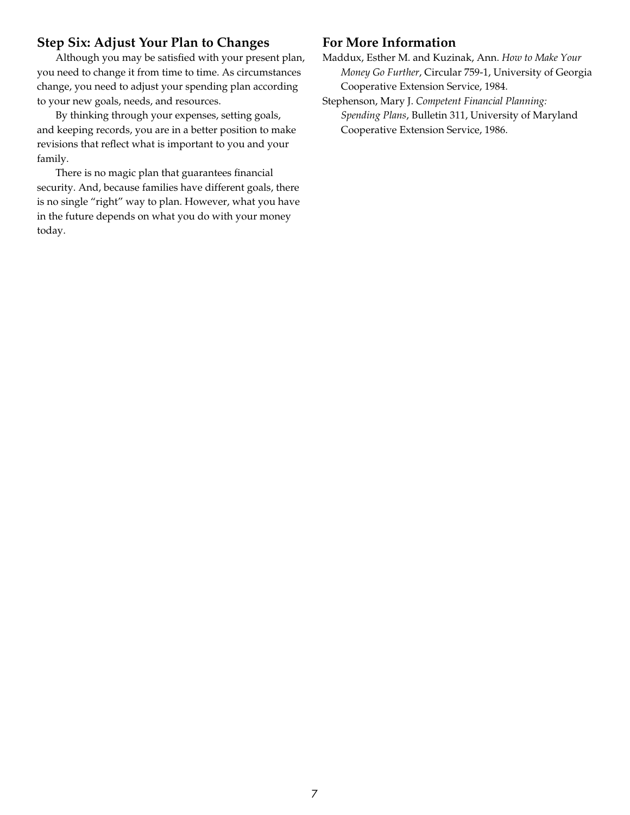# **Step Six: Adjust Your Plan to Changes**

Although you may be satisfied with your present plan, you need to change it from time to time. As circumstances change, you need to adjust your spending plan according to your new goals, needs, and resources.

By thinking through your expenses, setting goals, and keeping records, you are in a better position to make revisions that reflect what is important to you and your family.

There is no magic plan that guarantees financial security. And, because families have different goals, there is no single "right" way to plan. However, what you have in the future depends on what you do with your money today.

### **For More Information**

Maddux, Esther M. and Kuzinak, Ann. *How to Make Your Money Go Further*, Circular 759-1, University of Georgia Cooperative Extension Service, 1984.

Stephenson, Mary J. *Competent Financial Planning: Spending Plans*, Bulletin 311, University of Maryland Cooperative Extension Service, 1986.